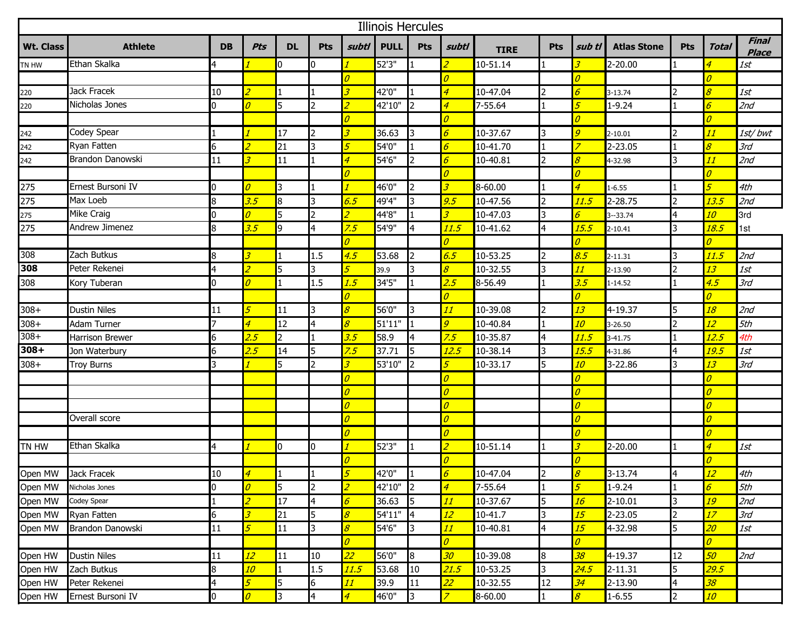| <b>Illinois Hercules</b> |                        |           |                          |                |                |                            |             |                      |                            |             |            |                          |                    |                         |                          |                              |
|--------------------------|------------------------|-----------|--------------------------|----------------|----------------|----------------------------|-------------|----------------------|----------------------------|-------------|------------|--------------------------|--------------------|-------------------------|--------------------------|------------------------------|
| <b>Wt. Class</b>         | <b>Athlete</b>         | <b>DB</b> | Pts                      | <b>DL</b>      | Pts            | subtl                      | <b>PULL</b> | <b>Pts</b>           | subtl                      | <b>TIRE</b> | <b>Pts</b> | sub tl                   | <b>Atlas Stone</b> | <b>Pts</b>              | <b>Total</b>             | <b>Final</b><br><b>Place</b> |
| TN HW                    | Ethan Skalka           | 4         |                          | 10             | 10             |                            | 52'3"       |                      |                            | 10-51.14    |            |                          | 2-20.00            |                         | 4                        | 1st                          |
|                          |                        |           |                          |                |                | $\overline{\mathcal{O}}$   |             |                      | $\overline{\mathcal{O}}$   |             |            | $\overline{\rho}$        |                    |                         | $\overline{\mathcal{O}}$ |                              |
| 220                      | Jack Fracek            | 10        |                          |                |                | $\overline{\mathcal{Z}}$   | 42'0"       |                      | $\overline{4}$             | 10-47.04    |            |                          | 3-13.74            | $\overline{2}$          | 8                        | 1st                          |
| 220                      | Nicholas Jones         | 0         | $\overline{\theta}$      | 5              |                | $\overline{z}$             | 42'10"      |                      | $\overline{4}$             | 7-55.64     |            |                          | $1 - 9.24$         |                         | 6                        | 2nd                          |
|                          |                        |           |                          |                |                | $\overline{\mathcal{O}}$   |             |                      | $\theta$                   |             |            | $\theta$                 |                    |                         | $\theta$                 |                              |
| 242<br>242               | Codey Spear            |           |                          | 17             |                | $\overline{\mathcal{Z}}$   | 36.63       | 3                    | $\overline{6}$             | 10-37.67    | 3          | $\overline{q}$           | $2 - 10.01$        | $\overline{2}$          | 11                       | 1st/bwt                      |
|                          | Ryan Fatten            | 6         |                          | 21             | 3              | $\mathfrak{F}$             | 54'0"       |                      | $\boldsymbol{\delta}$      | 10-41.70    |            |                          | 2-23.05            |                         | $\boldsymbol{\delta}$    | 3rd                          |
| 242                      | Brandon Danowski       | 11        |                          | 11             |                | $\overline{4}$             | 54'6"       | 12                   | $\boldsymbol{\delta}$      | 10-40.81    | 2          | 8                        | 4-32.98            | 3                       | 11                       | 2nd                          |
|                          |                        |           |                          |                |                | $\overline{\mathcal{O}}$   |             |                      | $\theta$                   |             |            | $\theta$                 |                    |                         | $\theta$                 |                              |
| 275                      | Ernest Bursoni IV      |           | $\overline{\rho}$        | 3              |                | $\mathcal{I}$              | 46'0"       |                      | $\overline{\mathcal{Z}}$   | 8-60.00     |            | $\overline{4}$           | $1 - 6.55$         |                         | 5 <sup>5</sup>           | 4th                          |
| 275                      | Max Loeb               | 8         | 3.5                      | 8              | 3              | 6.5                        | 49'4"       | I3                   | 9.5                        | 10-47.56    |            | 11.5                     | 2-28.75            | $\overline{2}$          | 13.5                     | 2nd                          |
| 275                      | Mike Craig             | 0         | $\overline{\mathcal{O}}$ | 5              |                | $\overline{z}$             | 44'8"       |                      | $\overline{\mathcal{Z}}$   | 10-47.03    | 3          | 6                        | $3 - 33.74$        | $\overline{a}$          | 10                       | 3rd                          |
| 275                      | Andrew Jimenez         | 8         | 3.5                      | 9              | 4              | 7.5                        | 54'9"       | 4                    | <u> 11.5</u>               | 10-41.62    | 4          | <u> 15.5</u>             | $2 - 10.41$        | 3                       | <mark>18.5</mark>        | 1st                          |
|                          |                        |           |                          |                |                | $\overline{\mathcal{O}}$   |             |                      | $\theta$                   |             |            | $\overline{\theta}$      |                    |                         | $\theta$                 |                              |
| 308                      | Zach Butkus            | 8         | $\overline{\mathbf{3}}$  |                | 1.5            | 4.5                        | 53.68       | 2                    | 6.5                        | 10-53.25    | 2          | 8.5                      | 2-11.31            | 3                       | 11.5                     | 2nd                          |
| 308                      | Peter Rekenei          | 4         |                          | 5              | 3              | 5 <sup>5</sup>             | 39.9        | l3                   | $\boldsymbol{\mathcal{S}}$ | 10-32.55    | 3          | 11                       | 2-13.90            | $\overline{2}$          | 13                       | 1st                          |
| 308                      | Kory Tuberan           | 0         | $\overline{\rho}$        |                | 1.5            | 1.5                        | 34'5"       |                      | 2.5                        | 8-56.49     |            | 3.5                      | 1-14.52            |                         | 4.5                      | 3rd                          |
|                          |                        |           |                          |                |                | $\overline{\mathcal{O}}$   |             |                      | $\overline{\theta}$        |             |            | $\theta$                 |                    |                         | $\overline{\theta}$      |                              |
| $308 +$                  | <b>Dustin Niles</b>    | 11        | 5                        | 11             | 3.             | $\boldsymbol{\mathcal{S}}$ | 56'0"       | 3                    | 11                         | 10-39.08    |            | 13                       | 4-19.37            | 5                       | 18                       | 2nd                          |
| $308 +$                  | Adam Turner            | 7         | $\overline{4}$           | 12             | 4              | $\boldsymbol{\delta}$      | 51'11"      |                      | $\overline{g}$             | 10-40.84    |            | 10                       | 3-26.50            | 2                       | 12                       | 5th                          |
| $308 +$                  | <b>Harrison Brewer</b> | 6         | 2.5                      | $\overline{2}$ |                | 3.5                        | 58.9        | 14                   | 7.5                        | 10-35.87    | 4          | <u> 11.5</u>             | 3-41.75            |                         | <u> 12.5</u>             | 4th                          |
| $308 +$                  | Jon Waterbury          |           | 2.5                      | 14             |                | 7.5                        | 37.71       | 5                    | 12.5                       | 10-38.14    | I3         | <u> 15.5</u>             | 4-31.86            | 4                       | <u> 19.5</u>             | 1st                          |
| $308 +$                  | <b>Troy Burns</b>      | 3         |                          | 5              | $\mathcal{L}$  | $\overline{\mathcal{Z}}$   | 53'10"      | $\mathsf{I}2$        | 5                          | 10-33.17    | 5          | 10                       | 3-22.86            | 3                       | 13                       | 3rd                          |
|                          |                        |           |                          |                |                | $\overline{\mathcal{O}}$   |             |                      | $\overline{\mathcal{O}}$   |             |            | $\overline{\rho}$        |                    |                         | $\overline{\mathcal{O}}$ |                              |
|                          |                        |           |                          |                |                | $\overline{\mathcal{O}}$   |             |                      | $\overline{\mathcal{O}}$   |             |            | $\overline{\rho}$        |                    |                         | $\theta$                 |                              |
|                          |                        |           |                          |                |                | $\boldsymbol{\theta}$      |             |                      | $\overline{\mathcal{O}}$   |             |            | <sup>0</sup>             |                    |                         | $\overline{\mathcal{O}}$ |                              |
|                          | Overall score          |           |                          |                |                | $\overline{\mathcal{O}}$   |             |                      | $\overline{\mathcal{O}}$   |             |            | $\overline{\rho}$        |                    |                         | $\overline{\theta}$      |                              |
|                          |                        |           |                          |                |                | $\overline{\mathcal{O}}$   |             |                      | $\overline{\mathcal{O}}$   |             |            | $\overline{\rho}$        |                    |                         | $\theta$                 |                              |
| TN HW                    | Ethan Skalka           | 4         |                          | 10             | $\mathbf{0}$   | $\overline{1}$             | 52'3"       |                      | $\overline{\mathcal{L}}$   | 10-51.14    |            | 3                        | 2-20.00            |                         | $\overline{4}$           | 1st                          |
|                          |                        |           |                          |                |                | $\overline{\mathcal{O}}$   |             |                      | $\overline{\mathcal{O}}$   |             |            | п                        |                    |                         | $\mathcal{O}$            |                              |
| Open MW                  | Jack Fracek            | 10        | $\overline{4}$           |                |                | $\overline{5}$             | 42'0"       |                      | $\overline{6}$             | 10-47.04    | <b>2</b>   | $\overline{s}$           | 3-13.74            | 4                       | 12 <sup>2</sup>          | 4th                          |
| Open MW                  | Nicholas Jones         | 0         | $\overline{\mathcal{O}}$ | 5              | $\overline{2}$ | $\overline{z}$             | 42'10"      | $\vert$ <sub>2</sub> | $\overline{4}$             | 7-55.64     |            | 5                        | $1 - 9.24$         | $\blacksquare$          | $\boldsymbol{\delta}$    | 5th                          |
| Open MW                  | Codey Spear            |           | $\overline{z}$           | 17             | 4              | $\boldsymbol{\delta}$      | 36.63       | $\vert$ <sub>5</sub> | 11                         | 10-37.67    | 5          | 16                       | $2 - 10.01$        | 3                       | 19                       | 2nd                          |
| Open MW                  | Ryan Fatten            | 6         | 3                        | 21             | 5              | $\boldsymbol{\delta}$      | $54'11''$ 4 |                      | 12                         | $10 - 41.7$ | l3         | 15                       | 2-23.05            | $\overline{2}$          | 17                       | 3rd                          |
| Open MW                  | Brandon Danowski       | 11        | 5                        | 11             | 3              | $\boldsymbol{\delta}$      | 54'6"       | 13                   | 11                         | 10-40.81    | 4          | 15                       | 4-32.98            | 5                       | 20 <sub>2</sub>          | $1st$                        |
|                          |                        |           |                          |                |                | $\boldsymbol{\theta}$      |             |                      | $\overline{\mathcal{O}}$   |             |            | $\overline{\mathcal{O}}$ |                    |                         | $\overline{\theta}$      |                              |
| Open HW                  | <b>Dustin Niles</b>    | 11        | 12 <sup>2</sup>          | 11             | 10             | 22                         | 56'0"       | $\vert$ 8            | 30 <sub>2</sub>            | 10-39.08    | 8          | 38                       | 4-19.37            | 12                      | 50 <sub>2</sub>          | 2nd                          |
| Open HW                  | Zach Butkus            | 8         | 10                       |                | 1.5            | 11.5                       | 53.68       | 10                   | 21.5                       | 10-53.25    | 3          | <mark>24.5</mark>        | 2-11.31            | 5                       | <mark>29.5</mark>        |                              |
| Open HW                  | Peter Rekenei          | 4         | 5                        | 5              | 6              | 11                         | 39.9        | 11                   | 22                         | 10-32.55    | 12         | 34                       | 2-13.90            | $\overline{\mathbf{r}}$ | 38                       |                              |
| Open HW                  | Ernest Bursoni IV      | 0         | $\overline{\mathcal{O}}$ | 3              | 4              | $\overline{4}$             | 46'0"       | 3                    | $\overline{z}$             | 8-60.00     |            | $\overline{\mathcal{S}}$ | $1 - 6.55$         | $\overline{2}$          | 10 <sub>2</sub>          |                              |